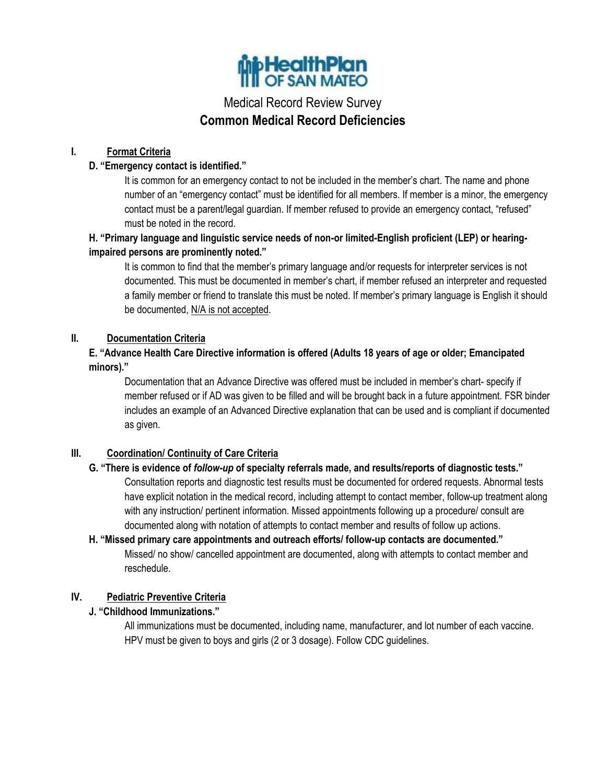

# Medical Record Review Survey **Common Medical Record Deficiencies**

## **I. Format Criteria**

## **D. "Emergency contact is identified."**

It is common for an emergency contact to not be included in the member's chart. The name and phone number of an "emergency contact" must be identified for all members. If member is a minor, the emergency contact must be a parent/legal guardian. If member refused to provide an emergency contact, "refused" must be noted in the record.

# **H. "Primary language and linguistic service needs of non-or limited-English proficient (LEP) or hearingimpaired persons are prominently noted."**

It is common to find that the member's primary language and/or requests for interpreter services is not documented. This must be documented in member's chart, if member refused an interpreter and requested a family member or friend to translate this must be noted. If member's primary language is English it should be documented, N/A is not accepted.

## **II. Documentation Criteria**

## **E. "Advance Health Care Directive information is offered (Adults 18 years of age or older; Emancipated minors)."**

Documentation that an Advance Directive was offered must be included in member's chart- specify if member refused or if AD was given to be filled and will be brought back in a future appointment. FSR binder includes an example of an Advanced Directive explanation that can be used and is compliant if documented as given.

## **III. Coordination/ Continuity of Care Criteria**

#### **G. "There is evidence of** *follow-up* **of specialty referrals made, and results/reports of diagnostic tests."**

Consultation reports and diagnostic test results must be documented for ordered requests. Abnormal tests have explicit notation in the medical record, including attempt to contact member, follow-up treatment along with any instruction/ pertinent information. Missed appointments following up a procedure/ consult are documented along with notation of attempts to contact member and results of follow up actions.

# **H. "Missed primary care appointments and outreach efforts/ follow-up contacts are documented."** Missed/ no show/ cancelled appointment are documented, along with attempts to contact member and reschedule.

#### **IV. Pediatric Preventive Criteria**

## **J. "Childhood Immunizations."**

All immunizations must be documented, including name, manufacturer, and lot number of each vaccine. HPV must be given to boys and girls (2 or 3 dosage). Follow CDC guidelines.